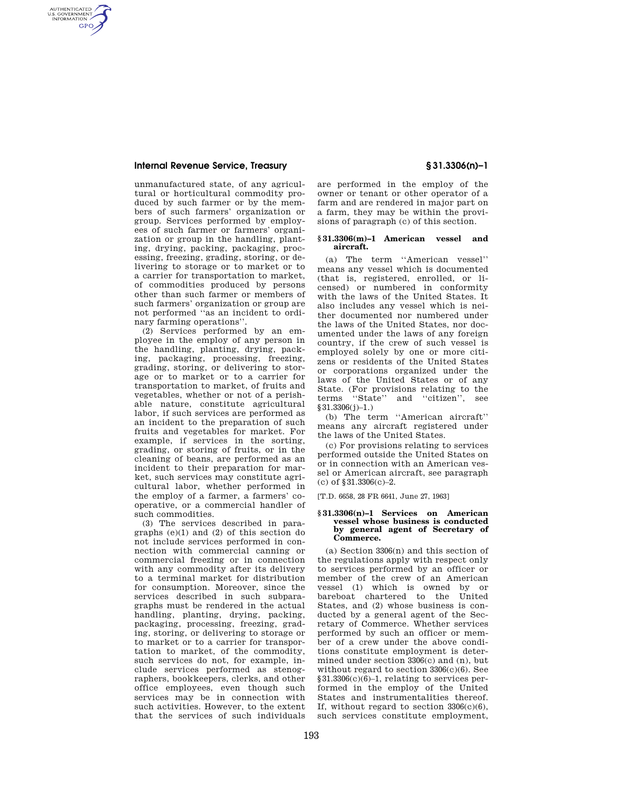# **Internal Revenue Service, Treasury § 31.3306(n)–1**

AUTHENTICATED<br>U.S. GOVERNMENT<br>INFORMATION **GPO** 

> unmanufactured state, of any agricultural or horticultural commodity produced by such farmer or by the members of such farmers' organization or group. Services performed by employees of such farmer or farmers' organization or group in the handling, planting, drying, packing, packaging, processing, freezing, grading, storing, or delivering to storage or to market or to a carrier for transportation to market, of commodities produced by persons other than such farmer or members of such farmers' organization or group are not performed ''as an incident to ordinary farming operations''.

> (2) Services performed by an employee in the employ of any person in the handling, planting, drying, packing, packaging, processing, freezing, grading, storing, or delivering to storage or to market or to a carrier for transportation to market, of fruits and vegetables, whether or not of a perishable nature, constitute agricultural labor, if such services are performed as an incident to the preparation of such fruits and vegetables for market. For example, if services in the sorting, grading, or storing of fruits, or in the cleaning of beans, are performed as an incident to their preparation for market, such services may constitute agricultural labor, whether performed in the employ of a farmer, a farmers' cooperative, or a commercial handler of such commodities.

> (3) The services described in paragraphs (e)(1) and (2) of this section do not include services performed in connection with commercial canning or commercial freezing or in connection with any commodity after its delivery to a terminal market for distribution for consumption. Moreover, since the services described in such subparagraphs must be rendered in the actual handling, planting, drying, packing, packaging, processing, freezing, grading, storing, or delivering to storage or to market or to a carrier for transportation to market, of the commodity, such services do not, for example, include services performed as stenographers, bookkeepers, clerks, and other office employees, even though such services may be in connection with such activities. However, to the extent that the services of such individuals

are performed in the employ of the owner or tenant or other operator of a farm and are rendered in major part on a farm, they may be within the provisions of paragraph (c) of this section.

## **§ 31.3306(m)–1 American vessel and aircraft.**

(a) The term ''American vessel'' means any vessel which is documented (that is, registered, enrolled, or licensed) or numbered in conformity with the laws of the United States. It also includes any vessel which is neither documented nor numbered under the laws of the United States, nor documented under the laws of any foreign country, if the crew of such vessel is employed solely by one or more citizens or residents of the United States or corporations organized under the laws of the United States or of any State. (For provisions relating to the terms ''State'' and ''citizen'', see §31.3306(j)-1.)

(b) The term ''American aircraft'' means any aircraft registered under the laws of the United States.

(c) For provisions relating to services performed outside the United States on or in connection with an American vessel or American aircraft, see paragraph (c) of §31.3306(c)–2.

[T.D. 6658, 28 FR 6641, June 27, 1963]

### **§ 31.3306(n)–1 Services on American vessel whose business is conducted by general agent of Secretary of Commerce.**

(a) Section 3306(n) and this section of the regulations apply with respect only to services performed by an officer or member of the crew of an American vessel (1) which is owned by or bareboat chartered to the United States, and (2) whose business is conducted by a general agent of the Secretary of Commerce. Whether services performed by such an officer or member of a crew under the above conditions constitute employment is determined under section 3306(c) and (n), but without regard to section 3306(c)(6). See §31.3306(c)(6)–1, relating to services performed in the employ of the United States and instrumentalities thereof. If, without regard to section  $3306(c)(6)$ , such services constitute employment,